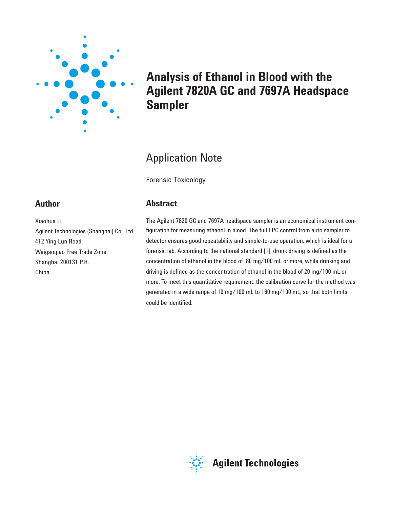

# **Analysis of Ethanol in Blood with the Agilent 7820A GC and 7697A Headspace Sampler**

# Application Note

Forensic Toxicology

## **Abstract**

The Agilent 7820 GC and 7697A headspace sampler is an economical instrument configuration for measuring ethanol in blood. The full EPC control from auto sampler to detector ensures good repeatability and simple-to-use operation, which is ideal for a forensic lab. According to the national standard [1], drunk driving is defined as the concentration of ethanol in the blood of 80 mg/100 mL or more, while drinking and driving is defined as the concentration of ethanol in the blood of 20 mg/100 mL or more. To meet this quantitative requirement, the calibration curve for the method was generated in a wide range of 10 mg/100 mL to 160 mg/100 mL, so that both limits could be identified.

## **Author**

Xiaohua Li Agilent Technologies (Shanghai) Co., Ltd. 412 Ying Lun Road Waigaoqiao Free Trade Zone Shanghai 200131 P.R. China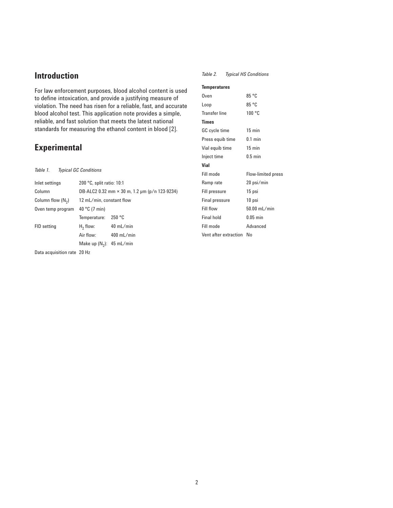## **Introduction**

For law enforcement purposes, blood alcohol content is used to define intoxication, and provide a justifying measure of violation. The need has risen for a reliable, fast, and accurate blood alcohol test. This application note provides a simple, reliable, and fast solution that meets the latest national standards for measuring the ethanol content in blood [2].

## **Experimental**

*Table 1. Typical GC Conditions*

| Inlet settings      | 200 °C, split ratio: 10:1                            |              |  |  |  |
|---------------------|------------------------------------------------------|--------------|--|--|--|
| Column              | DB-ALC2 0.32 mm $\times$ 30 m, 1.2 µm (p/n 123-9234) |              |  |  |  |
| Column flow $(N_2)$ | 12 mL/min, constant flow                             |              |  |  |  |
| Oven temp program   | 40 °C (7 min)                                        |              |  |  |  |
|                     | Temperature:                                         | 250 °C       |  |  |  |
| FID setting         | $H_2$ flow:                                          | $40$ mL/min  |  |  |  |
|                     | Air flow:                                            | $400$ mL/min |  |  |  |
|                     | Make up $(N_2)$ : 45 mL/min                          |              |  |  |  |
|                     |                                                      |              |  |  |  |

Data acquisition rate 20 Hz

*Table 2. Typical HS Conditions*

#### **Temperatures**

| Oven                     | 85 °C                     |
|--------------------------|---------------------------|
| Loop                     | 85 °C                     |
| Transfer line            | 100 °C                    |
| Times                    |                           |
| GC cycle time            | $15$ min                  |
| Press equib time         | $0.1$ min                 |
| Vial equib time          | $15 \text{ min}$          |
| Inject time              | $0.5$ min                 |
| Vial                     |                           |
| Fill mode                | <b>Flow-limited press</b> |
| Ramp rate                | 20 psi/min                |
| Fill pressure            | 15 psi                    |
| Final pressure           | 10 psi                    |
| Fill flow                | 50.00 mL/min              |
| Final hold               | $0.05$ min                |
| Fill mode                | Advanced                  |
| Vent after extraction No |                           |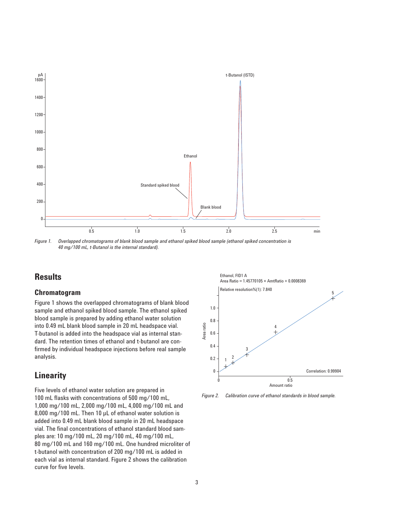

*Figure 1. Overlapped chromatograms of blank blood sample and ethanol spiked blood sample (ethanol spiked concentration is 40 mg/100 mL, t-Butanol is the internal standard).*

### **Results**

#### **Chromatogram**

Figure 1 shows the overlapped chromatograms of blank blood sample and ethanol spiked blood sample. The ethanol spiked blood sample is prepared by adding ethanol water solution into 0.49 mL blank blood sample in 20 mL headspace vial. T-butanol is added into the headspace vial as internal standard. The retention times of ethanol and t-butanol are confirmed by individual headspace injections before real sample analysis.

### **Linearity**

Five levels of ethanol water solution are prepared in 100 mL flasks with concentrations of 500 mg/100 mL, 1,000 mg/100 mL, 2,000 mg/100 mL, 4,000 mg/100 mL and 8,000 mg/100 mL. Then 10 µL of ethanol water solution is added into 0.49 mL blank blood sample in 20 mL headspace vial. The final concentrations of ethanol standard blood samples are: 10 mg/100 mL, 20 mg/100 mL, 40 mg/100 mL, 80 mg/100 mL and 160 mg/100 mL. One hundred microliter of t-butanol with concentration of 200 mg/100 mL is added in each vial as internal standard. Figure 2 shows the calibration curve for five levels.



*Figure 2. Calibration curve of ethanol standards in blood sample.*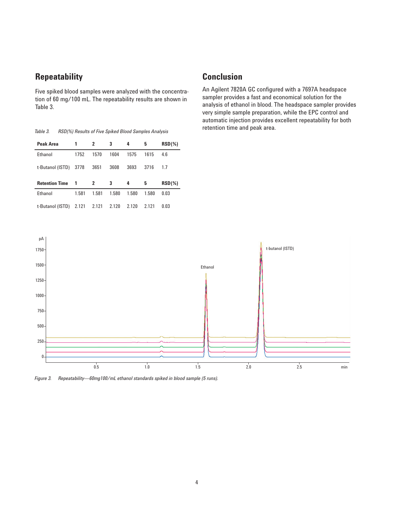## **Repeatability**

Five spiked blood samples were analyzed with the concentration of 60 mg/100 mL. The repeatability results are shown in Table 3.

retention time and peak area. *Table 3. RSD(%) Results of Five Spiked Blood Samples Analysis*

| Peak Area             | 1     | 2     | 3     | 4     | 5     | $RSD(\%)$ |
|-----------------------|-------|-------|-------|-------|-------|-----------|
| Ethanol               | 1752  | 1570  | 1604  | 1575  | 1615  | 4.6       |
| t-Butanol (ISTD)      | 3778  | 3651  | 3608  | 3693  | 3716  | 17        |
|                       |       |       |       |       |       |           |
| <b>Retention Time</b> | 1     | 2     | 3     | 4     | 5     | $RSD(\%)$ |
| Ethanol               | 1.581 | 1.581 | 1.580 | 1.580 | 1.580 | 0.03      |

## **Conclusion**

An Agilent 7820A GC configured with a 7697A headspace sampler provides a fast and economical solution for the analysis of ethanol in blood. The headspace sampler provides very simple sample preparation, while the EPC control and automatic injection provides excellent repeatability for both



*Figure 3. Repeatability—60mg100/mL ethanol standards spiked in blood sample (5 runs).*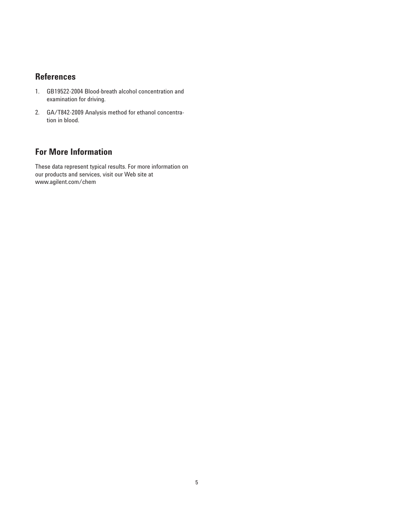## **References**

- 1. GB19522-2004 Blood-breath alcohol concentration and examination for driving.
- 2. GA/T842-2009 Analysis method for ethanol concentration in blood.

## **For More Information**

These data represent typical results. For more information on our products and services, visit our Web site at www.agilent.com/chem